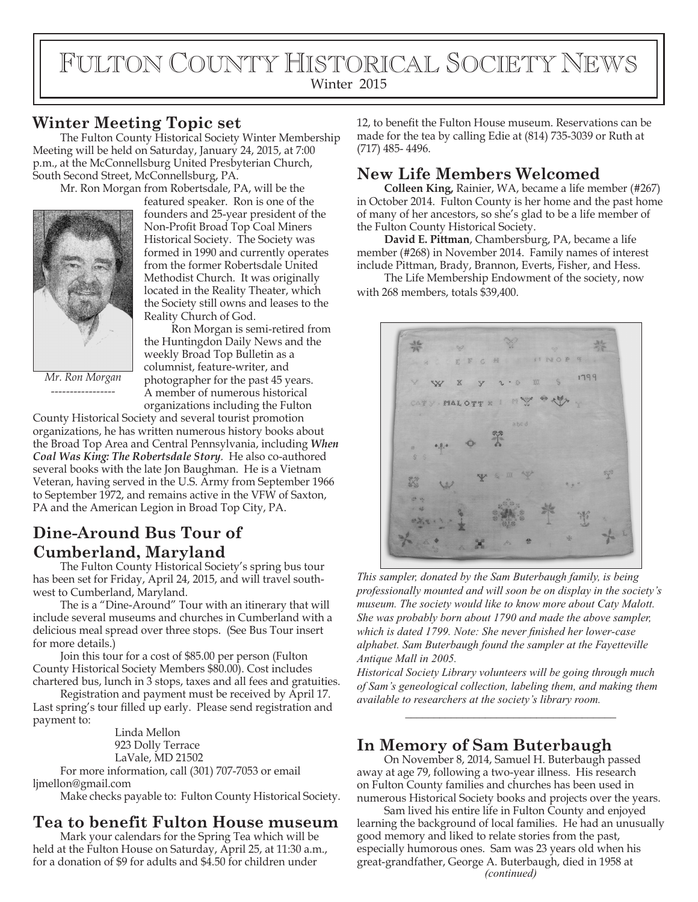# FULTON COUNTY HISTORICAL SOCIETY NEWS Winter 2015

### **Winter Meeting Topic set**

The Fulton County Historical Society Winter Membership Meeting will be held on Saturday, January 24, 2015, at 7:00 p.m., at the McConnellsburg United Presbyterian Church, South Second Street, McConnellsburg, PA.

Mr. Ron Morgan from Robertsdale, PA, will be the



featured speaker. Ron is one of the founders and 25-year president of the Non-Profit Broad Top Coal Miners Historical Society. The Society was formed in 1990 and currently operates from the former Robertsdale United Methodist Church. It was originally located in the Reality Theater, which the Society still owns and leases to the Reality Church of God.

*Mr. Ron Morgan -----------------*

Ron Morgan is semi-retired from the Huntingdon Daily News and the weekly Broad Top Bulletin as a columnist, feature-writer, and photographer for the past 45 years. A member of numerous historical organizations including the Fulton

County Historical Society and several tourist promotion organizations, he has written numerous history books about the Broad Top Area and Central Pennsylvania, including *When Coal Was King: The Robertsdale Story*. He also co-authored several books with the late Jon Baughman. He is a Vietnam Veteran, having served in the U.S. Army from September 1966 to September 1972, and remains active in the VFW of Saxton, PA and the American Legion in Broad Top City, PA.

# **Dine-Around Bus Tour of Cumberland, Maryland**

The Fulton County Historical Society's spring bus tour has been set for Friday, April 24, 2015, and will travel southwest to Cumberland, Maryland.

The is a "Dine-Around" Tour with an itinerary that will include several museums and churches in Cumberland with a delicious meal spread over three stops. (See Bus Tour insert for more details.)

Join this tour for a cost of \$85.00 per person (Fulton County Historical Society Members \$80.00). Cost includes chartered bus, lunch in 3 stops, taxes and all fees and gratuities.

Registration and payment must be received by April 17. Last spring's tour filled up early. Please send registration and payment to:

> Linda Mellon 923 Dolly Terrace LaVale, MD 21502

For more information, call (301) 707-7053 or email ljmellon@gmail.com

Make checks payable to: Fulton County Historical Society.

# **Tea to benefit Fulton House museum**

Mark your calendars for the Spring Tea which will be held at the Fulton House on Saturday, April 25, at 11:30 a.m., for a donation of \$9 for adults and \$4.50 for children under

12, to benefit the Fulton House museum. Reservations can be made for the tea by calling Edie at (814) 735-3039 or Ruth at (717) 485- 4496.

### **New Life Members Welcomed**

**Colleen King,** Rainier, WA, became a life member (#267) in October 2014. Fulton County is her home and the past home of many of her ancestors, so she's glad to be a life member of the Fulton County Historical Society.

**David E. Pittman**, Chambersburg, PA, became a life member (#268) in November 2014. Family names of interest include Pittman, Brady, Brannon, Everts, Fisher, and Hess.

The Life Membership Endowment of the society, now with 268 members, totals \$39,400.

MALOTT K

*This sampler, donated by the Sam Buterbaugh family, is being professionally mounted and will soon be on display in the society's museum. The society would like to know more about Caty Malott. She was probably born about 1790 and made the above sampler, which is dated 1799. Note: She never finished her lower-case alphabet. Sam Buterbaugh found the sampler at the Fayetteville Antique Mall in 2005.*

*Historical Society Library volunteers will be going through much of Sam's geneological collection, labeling them, and making them available to researchers at the society's library room.*

*\_\_\_\_\_\_\_\_\_\_\_\_\_\_\_\_\_\_\_\_\_\_\_\_\_\_\_\_\_\_\_\_\_\_\_\_\_*

#### **In Memory of Sam Buterbaugh**

On November 8, 2014, Samuel H. Buterbaugh passed away at age 79, following a two-year illness. His research on Fulton County families and churches has been used in numerous Historical Society books and projects over the years.

*(continued)* Sam lived his entire life in Fulton County and enjoyed learning the background of local families. He had an unusually good memory and liked to relate stories from the past, especially humorous ones. Sam was 23 years old when his great-grandfather, George A. Buterbaugh, died in 1958 at